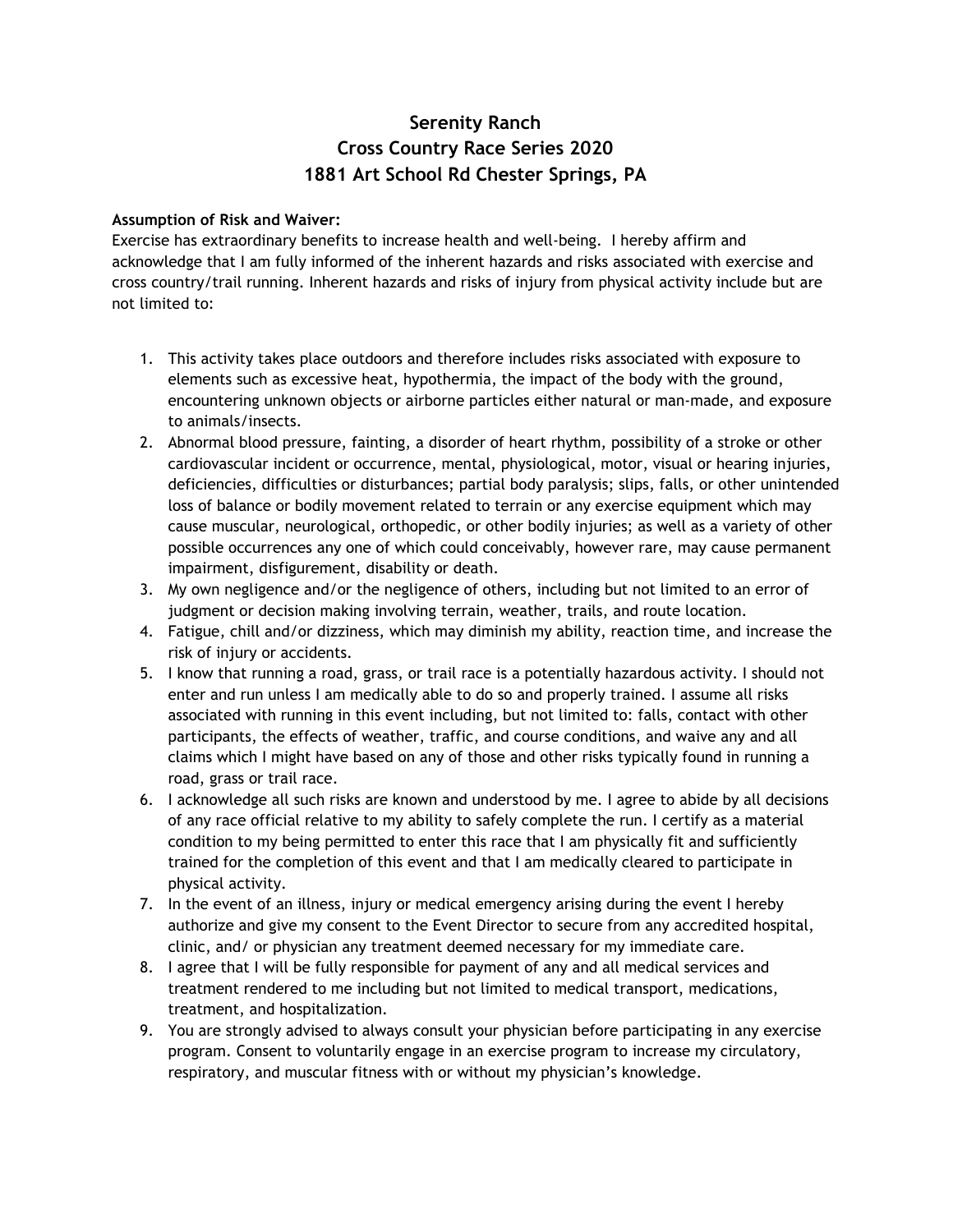# **Serenity Ranch Cross Country Race Series 2020 1881 Art School Rd Chester Springs, PA**

#### **Assumption of Risk and Waiver:**

Exercise has extraordinary benefits to increase health and well-being. I hereby affirm and acknowledge that I am fully informed of the inherent hazards and risks associated with exercise and cross country/trail running. Inherent hazards and risks of injury from physical activity include but are not limited to:

- 1. This activity takes place outdoors and therefore includes risks associated with exposure to elements such as excessive heat, hypothermia, the impact of the body with the ground, encountering unknown objects or airborne particles either natural or man-made, and exposure to animals/insects.
- 2. Abnormal blood pressure, fainting, a disorder of heart rhythm, possibility of a stroke or other cardiovascular incident or occurrence, mental, physiological, motor, visual or hearing injuries, deficiencies, difficulties or disturbances; partial body paralysis; slips, falls, or other unintended loss of balance or bodily movement related to terrain or any exercise equipment which may cause muscular, neurological, orthopedic, or other bodily injuries; as well as a variety of other possible occurrences any one of which could conceivably, however rare, may cause permanent impairment, disfigurement, disability or death.
- 3. My own negligence and/or the negligence of others, including but not limited to an error of judgment or decision making involving terrain, weather, trails, and route location.
- 4. Fatigue, chill and/or dizziness, which may diminish my ability, reaction time, and increase the risk of injury or accidents.
- 5. I know that running a road, grass, or trail race is a potentially hazardous activity. I should not enter and run unless I am medically able to do so and properly trained. I assume all risks associated with running in this event including, but not limited to: falls, contact with other participants, the effects of weather, traffic, and course conditions, and waive any and all claims which I might have based on any of those and other risks typically found in running a road, grass or trail race.
- 6. I acknowledge all such risks are known and understood by me. I agree to abide by all decisions of any race official relative to my ability to safely complete the run. I certify as a material condition to my being permitted to enter this race that I am physically fit and sufficiently trained for the completion of this event and that I am medically cleared to participate in physical activity.
- 7. In the event of an illness, injury or medical emergency arising during the event I hereby authorize and give my consent to the Event Director to secure from any accredited hospital, clinic, and/ or physician any treatment deemed necessary for my immediate care.
- 8. I agree that I will be fully responsible for payment of any and all medical services and treatment rendered to me including but not limited to medical transport, medications, treatment, and hospitalization.
- 9. You are strongly advised to always consult your physician before participating in any exercise program. Consent to voluntarily engage in an exercise program to increase my circulatory, respiratory, and muscular fitness with or without my physician's knowledge.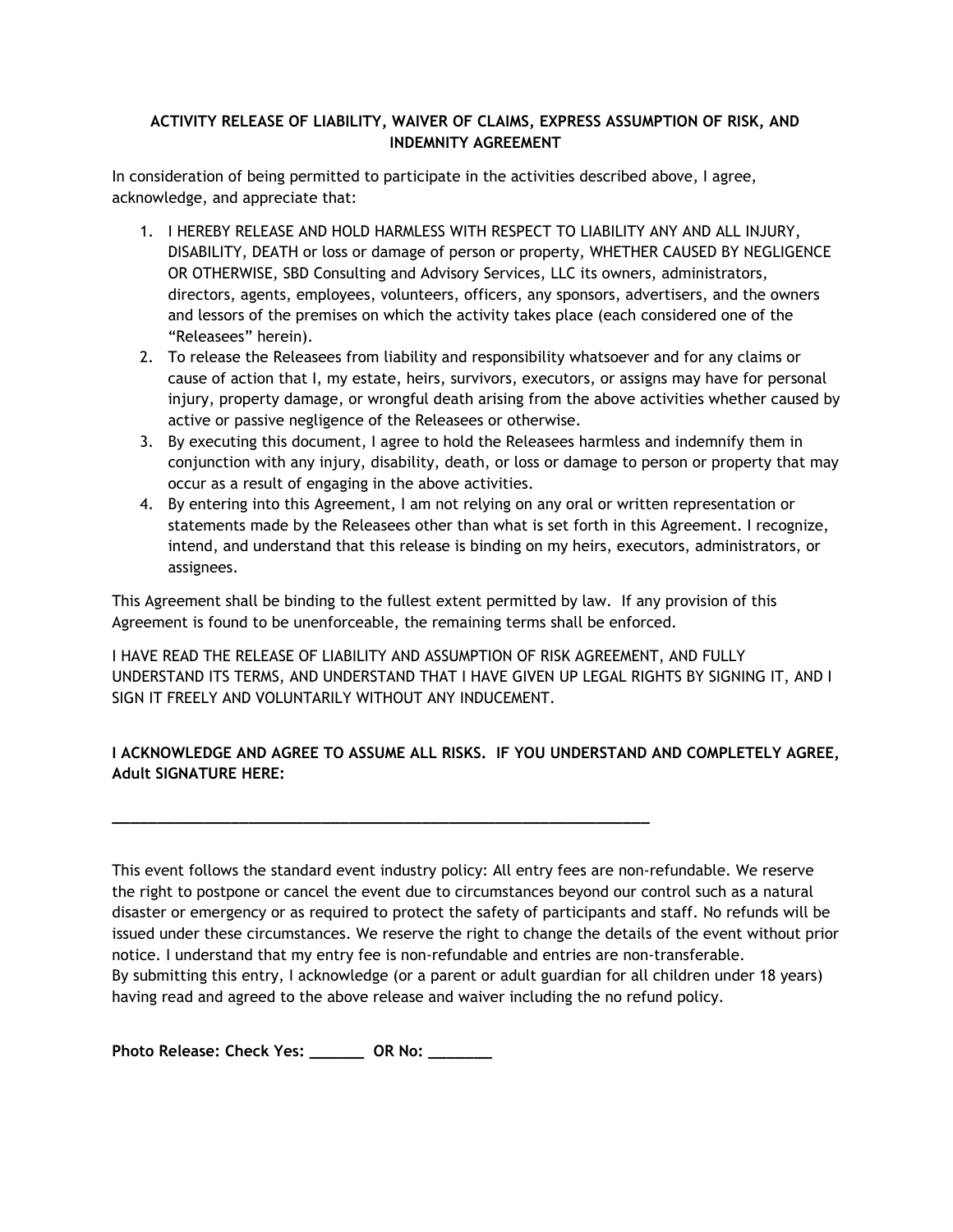### **ACTIVITY RELEASE OF LIABILITY, WAIVER OF CLAIMS, EXPRESS ASSUMPTION OF RISK, AND INDEMNITY AGREEMENT**

In consideration of being permitted to participate in the activities described above, I agree, acknowledge, and appreciate that:

- 1. I HEREBY RELEASE AND HOLD HARMLESS WITH RESPECT TO LIABILITY ANY AND ALL INJURY, DISABILITY, DEATH or loss or damage of person or property, WHETHER CAUSED BY NEGLIGENCE OR OTHERWISE, SBD Consulting and Advisory Services, LLC its owners, administrators, directors, agents, employees, volunteers, officers, any sponsors, advertisers, and the owners and lessors of the premises on which the activity takes place (each considered one of the "Releasees" herein).
- 2. To release the Releasees from liability and responsibility whatsoever and for any claims or cause of action that I, my estate, heirs, survivors, executors, or assigns may have for personal injury, property damage, or wrongful death arising from the above activities whether caused by active or passive negligence of the Releasees or otherwise.
- 3. By executing this document, I agree to hold the Releasees harmless and indemnify them in conjunction with any injury, disability, death, or loss or damage to person or property that may occur as a result of engaging in the above activities.
- 4. By entering into this Agreement, I am not relying on any oral or written representation or statements made by the Releasees other than what is set forth in this Agreement. I recognize, intend, and understand that this release is binding on my heirs, executors, administrators, or assignees.

This Agreement shall be binding to the fullest extent permitted by law. If any provision of this Agreement is found to be unenforceable, the remaining terms shall be enforced.

**\_\_\_\_\_\_\_\_\_\_\_\_\_\_\_\_\_\_\_\_\_\_\_\_\_\_\_\_\_\_\_\_\_\_\_\_\_\_\_\_\_\_\_\_\_\_\_\_\_\_\_\_\_\_\_\_\_\_\_**

I HAVE READ THE RELEASE OF LIABILITY AND ASSUMPTION OF RISK AGREEMENT, AND FULLY UNDERSTAND ITS TERMS, AND UNDERSTAND THAT I HAVE GIVEN UP LEGAL RIGHTS BY SIGNING IT, AND I SIGN IT FREELY AND VOLUNTARILY WITHOUT ANY INDUCEMENT.

## **I ACKNOWLEDGE AND AGREE TO ASSUME ALL RISKS. IF YOU UNDERSTAND AND COMPLETELY AGREE, Adult SIGNATURE HERE:**

This event follows the standard event industry policy: All entry fees are non-refundable. We reserve the right to postpone or cancel the event due to circumstances beyond our control such as a natural disaster or emergency or as required to protect the safety of participants and staff. No refunds will be issued under these circumstances. We reserve the right to change the details of the event without prior notice. I understand that my entry fee is non-refundable and entries are non-transferable. By submitting this entry, I acknowledge (or a parent or adult guardian for all children under 18 years) having read and agreed to the above release and waiver including the no refund policy.

**Photo Release: Check Yes: \_\_\_\_\_\_ OR No: \_\_\_\_\_\_\_**